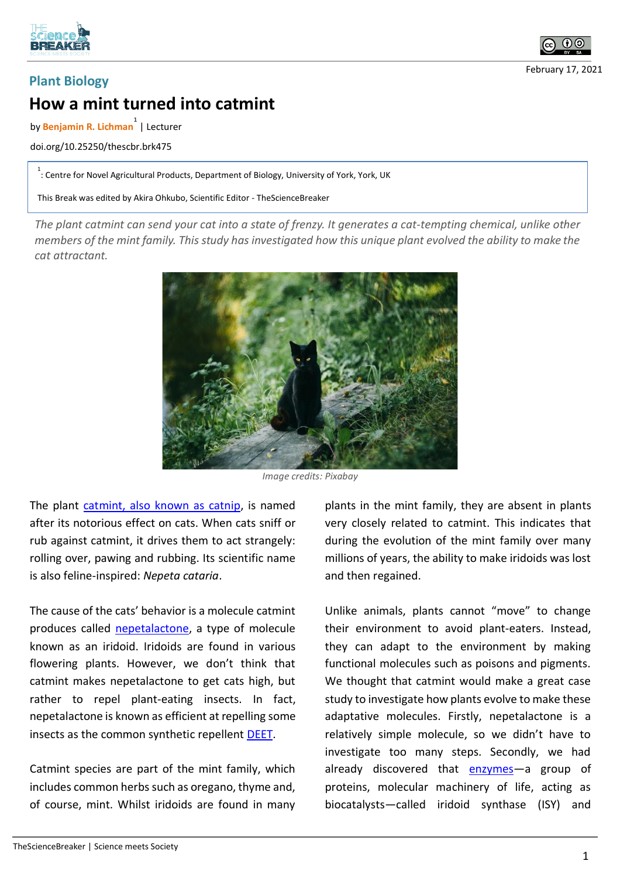



February 17, 2021

## **Plant Biology How a mint turned into catmint**

by **Benjamin R. Lichman 1** | Lecturer

doi.org/10.25250/thescbr.brk475

<sup>1</sup>: Centre for Novel Agricultural Products, Department of Biology, University of York, York, UK

This Break was edited by Akira Ohkubo, Scientific Editor - TheScienceBreaker

*The plant catmint can send your cat into a state of frenzy. It generates a cat-tempting chemical, unlike other members of the mint family. This study has investigated how this unique plant evolved the ability to make the cat attractant.*



*Image credits: Pixabay*

The plant catmint, also known as catnip, is named after its notorious effect on cats. When cats sniff or rub against catmint, it drives them to act strangely: rolling over, pawing and rubbing. Its scientific name is also feline-inspired: *Nepeta cataria*.

The cause of the cats' behavior is a molecule catmint produces called nepetalactone, a type of molecule known as an iridoid. Iridoids are found in various flowering plants. However, we don't think that catmint makes nepetalactone to get cats high, but rather to repel plant-eating insects. In fact, nepetalactone is known as efficient at repelling some insects as the common synthetic repellent DEET.

Catmint species are part of the mint family, which includes common herbs such as oregano, thyme and, of course, mint. Whilst iridoids are found in many plants in the mint family, they are absent in plants very closely related to catmint. This indicates that during the evolution of the mint family over many millions of years, the ability to make iridoids was lost and then regained.

Unlike animals, plants cannot "move" to change their environment to avoid plant-eaters. Instead, they can adapt to the environment by making functional molecules such as poisons and pigments. We thought that catmint would make a great case study to investigate how plants evolve to make these adaptative molecules. Firstly, nepetalactone is a relatively simple molecule, so we didn't have to investigate too many steps. Secondly, we had already discovered that enzymes—a group of proteins, molecular machinery of life, acting as biocatalysts—called iridoid synthase (ISY) and